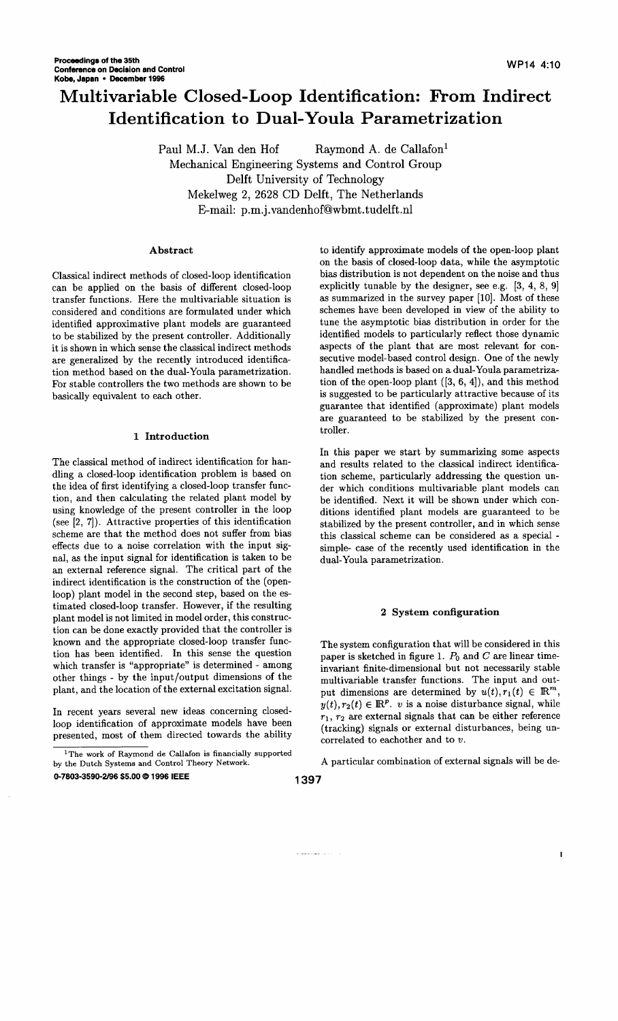# **Multivariable Closed-Loop Identification: From Indirect Identification to Dual-Youla Parametrization**

Paul M.J. Van den Hof Raymond A. de Callafon<sup>1</sup> Mechanical Engineering Systems and Control Group Delft University of Technology Mekelweg 2, 2628 CD Delft, The Netherlands E-mail: p.m.j.vandenhof@wbmt. tudelft.nl

# Abstract

Classical indirect methods of closed-loop identification can be applied on the basis of different closed-loop transfer functions. Here the multivariable situation is considered and conditions are formulated under which identified approximative plant models are guaranteed to be stabilized by the present controller. Additionally it is shown in which sense the classical indirect methods are generalized by the recently introduced identification method based on the dual-Youla parametrization. For stable controllers the two methods are shown to be basically equivalent to each other.

## 1 Introduction

The classical method of indirect identification for handling a closed-loop identification problem is based on the idea of first identifying a closed-loop transfer function, and then calculating the related plant model by using knowledge of the present controller in the loop (see [2, 7]). Attractive properties of this identification scheme are that the method does not suffer from bias effects due to a noise correlation with the input signal, as the input signal for identification is taken to be an external reference signal. The critical part of the indirect identification is the construction of the (openloop) plant model in the second step, based on the estimated closed-loop transfer. However, if the resulting plant model is not limited in model order, this construction can be done exactly provided that the controller is known and the appropriate closed-loop transfer function has been identified. In this sense the question which transfer is "appropriate" is determined - among other things - by the input/output dimensions of the plant, and the location of the external excitation signal.

In recent years several new ideas concerning closedloop identification of approximate models have been presented, most of them directed towards the ability to identify approximate models of the open-loop plant on the basis of closed-loop data, while the asymptotic bias distribution is not dependent on the noise and thus explicitly tunable by the designer, see e.g. [3, 4, 8, 9] as summarized in the survey paper [10]. Most of these schemes have been developed in view of the ability to tune the asymptotic bias distribution in order for the identified models to particularly reflect those dynamic aspects of the plant that are most relevant for consecutive model-based control design. One of the newly handled methods is based on a dual-Youla parametrization of the open-loop plant ([3, 6, 4]), and this method is suggested to be particularly attractive because of its guarantee that identified (approximate) plant models are guaranteed to be stabilized by the present controller.

In this paper we start by summarizing some aspects and results related to the classical indirect identification scheme, particularly addressing the question under which conditions multivariable plant models can be identified. Next it will be shown under which conditions identified plant models are guaranteed to be stabilized by the present controller, and in which sense this classical scheme can be considered as a special simple- case of the recently used identification in the dual-Youla parametrization.

## *2* System configuration

The system configuration that will be considered in this paper is sketched in figure 1.  $P_0$  and  $C$  are linear timeinvariant finite-dimensional but not necessarily stable multivariable transfer functions. The input and output dimensions are determined by  $u(t), r_1(t) \in \mathbb{R}^m$ ,  $y(t), r_2(t) \in \mathbb{R}^p$ . *v* is a noise disturbance signal, while  $r_1, r_2$  are external signals that can be either reference (tracking) signals or external disturbances, being uncorrelated to eachother and to v.

A particular combination of external signals will be de-

<sup>&</sup>lt;sup>1</sup>The work of Raymond de Callafon is financially supported by the Dutch Systems and Control Theory Network.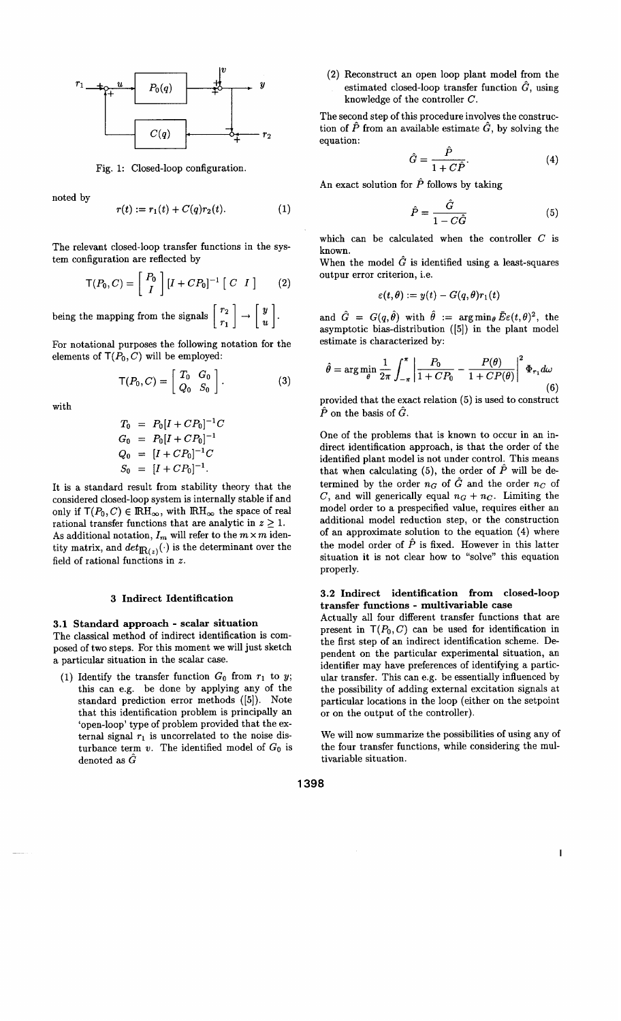

Fig. 1: Closed-loop configuration.

noted by

$$
r(t) := r_1(t) + C(q)r_2(t). \tag{1}
$$

The relevant closed-loop transfer functions in the system configuration are reflected by

$$
\mathsf{T}(P_0,C) = \left[\begin{array}{c} P_0 \\ I \end{array}\right] [I + CP_0]^{-1} \left[\begin{array}{cc} C & I \end{array}\right] \tag{2}
$$

being the mapping from the signal  $\lfloor 1 \rfloor$ 

For notational purposes the following notation for the elements of  $T(P_0, C)$  will be employed:

$$
\mathsf{T}(P_0,C)=\left[\begin{array}{cc}T_0 & G_0\\Q_0 & S_0\end{array}\right].\tag{3}
$$

with

$$
T_0 = P_0[I + CP_0]^{-1}C
$$
  
\n
$$
G_0 = P_0[I + CP_0]^{-1}
$$
  
\n
$$
Q_0 = [I + CP_0]^{-1}C
$$
  
\n
$$
S_0 = [I + CP_0]^{-1}.
$$

It is a standard result from stability theory that the considered closed-loop system is internally stable if and only if  $T(P_0, C) \in \mathbb{R}$ H<sub>∞</sub>, with  $\mathbb{R}$ H<sub>∞</sub> the space of real rational transfer functions that are analytic in  $z \geq 1$ . As additional notation,  $I_m$  will refer to the  $m \times m$  identity matrix, and  $det_{\hbox{\it I\hskip -2pt R}(z)}(\cdot)$  is the determinant over the field of rational functions in z.

## *3* Indirect Identification

#### 3.1 Standard approach - scalar situation

The classical method of indirect identification is composed of two steps. For this moment we will just sketch a particular situation in the scalar case.

(1) Identify the transfer function  $G_0$  from  $r_1$  to y; this can e.g. be done by applying any of the standard prediction error methods ([5]). Note that this identification problem is principally an 'open-loop' type of problem provided that the external signal  $r_1$  is uncorrelated to the noise disturbance term  $v$ . The identified model of  $G_0$  is denoted as  $\hat{G}$ 

*(2)* Reconstruct an open loop plant model from the estimated closed-loop transfer function  $\hat{G}$ , using knowledge of the controller C.

The second step of this procedure involves the construction of  $\hat{P}$  from an available estimate  $\hat{G}$ , by solving the equation:

$$
\hat{G} = \frac{P}{1 + C\hat{P}}.\tag{4}
$$

An exact solution for  $\hat{P}$  follows by taking

$$
\hat{P} = \frac{\hat{G}}{1 - C\hat{G}}\tag{5}
$$

which can be calculated when the controller  $C$  is known.

When the model  $\hat{G}$  is identified using a least-squares outpur error criterion, i.e.

$$
\varepsilon(t,\theta):=y(t)-G(q,\theta)r_1(t)
$$

and  $\hat{G} = G(q, \hat{\theta})$  with  $\hat{\theta} := \arg \min_{\theta} \bar{E} \epsilon(t, \theta)^2$ , the asymptotic bias-distribution ([5]) in the plant model estimate is characterized by:

$$
\hat{\theta} = \arg\min_{\theta} \frac{1}{2\pi} \int_{-\pi}^{\pi} \left| \frac{P_0}{1 + CP_0} - \frac{P(\theta)}{1 + CP(\theta)} \right|^2 \Phi_{r_1} d\omega \tag{6}
$$

provided that the exact relation (5) is used to construct  $\hat{P}$  on the basis of  $\hat{G}$ .

One of the problems that is known to occur in an indirect identification approach, is that the order of the identified plant model is not under control. This means that when calculating (5), the order of  $\hat{P}$  will be determined by the order  $n_G$  of  $\hat{G}$  and the order  $n_G$  of C, and will generically equal  $n_G + n_C$ . Limiting the model order to a prespecified value, requires either an additional model reduction step, or the construction of an approximate solution to the equation (4) where the model order of  $\hat{P}$  is fixed. However in this latter situation it is not clear how to "solve" this equation properly.

# 3.2 Indirect identification from closed-loop transfer functions - multivariable case

Actually all four different transfer functions that are present in  $T(P_0, C)$  can be used for identification in the first step of an indirect identification scheme. Dependent on the particular experimental situation, an identifier may have preferences of identifying a particular transfer. This can e.g. be essentially influenced by the possibility of adding external excitation signals at particular locations in the loop (either on the setpoint or on the output of the controller).

We will now summarize the possibilities of using any of the four transfer functions, while considering the multivariable situation.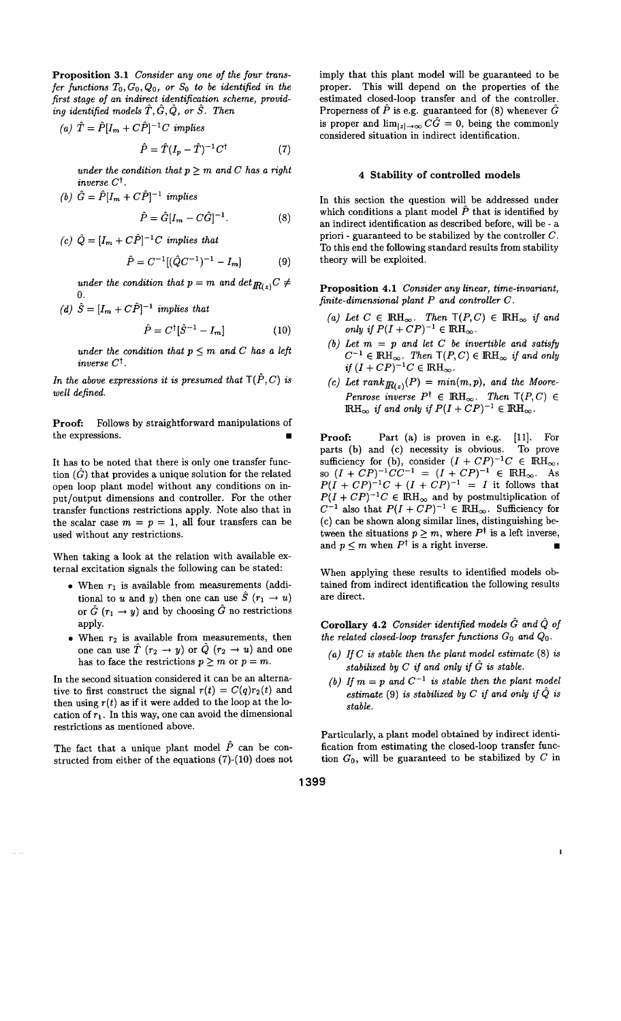Proposition 3.1 *Consider any one of the four tmns*fer functions  $T_0$ ,  $G_0$ ,  $Q_0$ , or  $S_0$  to be identified in the *first stage of* an *indim~t ~d~ntijic@ion scheme, providing identified models T, G, Q, or S. Then*

(a) 
$$
\hat{T} = \hat{P}[I_m + C\hat{P}]^{-1}C
$$
 implies

$$
\hat{P} = \hat{T}(I_p - \hat{T})^{-1}C^{\dagger} \tag{7}
$$

under the condition that  $p \geq m$  and C has a right *inverse Ct.*

 $(b)$   $G = P[I_m + CP]^{-1}$  *implies* 

$$
\hat{P} = \hat{G}[I_m - C\hat{G}]^{-1}.
$$
 (8)

 $P(C)$   $Q = [I_m + CP]^{-1}C$  *implies that* 

$$
\hat{P} = C^{-1} [(\hat{Q} C^{-1})^{-1} - I_m]
$$
 (9)

*under the condition that*  $p = m$  *and*  $\det_{\mathbf{R}(z)} C \neq$ *o.*

 $(d)$   $S = [I_m + CP]^{-1}$  *implies that* 

$$
\ddot{P} = C^{\dagger} [\dot{S}^{-1} - I_m] \tag{10}
$$

under the condition that  $p \leq m$  and C has a left inverse  $C^{\dagger}$ .

In the above expressions it is presumed that  $T(\hat{P}, C)$  is *well* defined.

Proof: Follows by straightforward manipulations of the expressions.

It has to be noted that there is only one transfer function  $(\tilde{G})$  that provides a unique solution for the related open loop plant model without any conditions on input /output dimensions and controller. For the other transfer functions restrictions apply. Note also that in the scalar case  $m = p = 1$ , all four transfers can be used without any restrictions.

When taking a look at the relation with available external excitation signals the following can be stated:

- When  $r_1$  is available from measurements (additional to u and y) then one can use  $\hat{S}(r_1 \rightarrow u)$ or  $\hat{G}(r_1 \rightarrow y)$  and by choosing  $\hat{G}$  no restrictions apply.
- $\bullet$  When  $r_2$  is available from measurements, then one can use  $\hat{T}$   $(r_2 \rightarrow y)$  or  $Q$   $(r_2 \rightarrow u)$  and one has to face the restrictions  $p \ge m$  or  $p = m$ .

In the second situation considered it can be an alternative to first construct the signal  $r(t) = C(q)r_2(t)$  and then using  $r(t)$  as if it were added to the loop at the location of  $r_1$ . In this way, one can avoid the dimensional restrictions as mentioned above.

The fact that a unique plant model  $\hat{P}$  can be constructed from either of the equations (7)-(10) does not imply that this plant model will be guaranteed to be proper. This will depend on the properties of the estimated closed-loop transfer and of the controller. Properness of  $\hat{P}$  is e.g. guaranteed for (8) whenever  $\hat{G}$ is proper and  $\lim_{|z|\to\infty} C\hat{G} = 0$ , being the commonly considered situation in indirect identification.

#### *4* Stability of controlled models

In this section the question will be addressed under which conditions a plant model  $\hat{P}$  that is identified by an indirect identification as described before, will be - a priori - guaranteed to be stabilized by the controller  $C$ . To this end the following standard results from stability theory will be exploited.

Proposition *4.1* Consider any linear, *time-invariant,* finite-dimensional *plant P* and controller C.

- (a) Let  $C \in \mathbb{R}$ H<sub>∞</sub>. Then  $\mathsf{T}(P, C) \in \mathbb{R}$ H<sub>∞</sub> if and only if  $P(I + CP)^{-1} \in \mathbb{R}$ H<sub>∞</sub>.
- *(b) Let m = p and let C be* invertible *and satisfy*  $C^{-1} \in \mathbb{R}$ H<sub>∞</sub>. Then  $\mathsf{T}(P, C) \in \mathbb{R}$ H<sub>∞</sub> if and only  $if(I + CP)^{-1}C \in \text{RH}_{\infty}.$
- $\rho(c)$  Let  $rank_{\mathbf{R}(z)}(P) = min(m,p)$ , and the Moore-Penrose inverse  $P^{\dagger} \in \text{RH}_{\infty}$ . Then  $T(P, C) \in$  $\text{R.H}_{\infty}$  *if and only if*  $P(I + CP)^{-1} \in \text{R.H}_{\infty}$ .

Proof: Part (a) is proven in e.g. [11]. For parts (b) and (c) necessity is obvious. To prove sufficiency for (b), consider  $(I + CP)^{-1}C \in \mathbb{R}$ H<sub>∞</sub>, so  $(I + CP)^{-1}CC^{-1} = (I + CP)^{-1} \in \text{I\!RH}_{\infty}$ . As  $P(I + CP)^{-1}C + (I + CP)^{-1} = I$  it follows that  $P(I + CP)^{-1}C \in \text{I\!R\!H}_{\infty}$  and by postmultiplication of  $C^{-1}$  also that  $P(I + CP)^{-1} \in \mathbb{R}$ H<sub>∞</sub>. Sufficiency for (c) can be shown along similar lines, distinguishing between the situations  $p \geq m$ , where  $P^{\dagger}$  is a left inverse, and  $p \leq m$  when  $P^{\dagger}$  is a right inverse.

When applying these results to identified models obtained from indirect identification the following results are direct.

Corollary 4.2 Consider *identified models G* and Q *of the related closed-loop* transfer *functions Go and Qo.*

- *(a) If C is stable then the plant model estimate (8)* is *stabilized by C if and only if G is stable.*
- *(b)* If  $m = p$  and  $C^{-1}$  is *stable then the plant model estimate* (9) *is stabilized by*  $C$  *if and only if*  $\hat{Q}$  *is stable.*

Particularly, a plant model obtained by indirect identification from estimating the closed-loop transfer function  $G_0$ , will be guaranteed to be stabilized by C in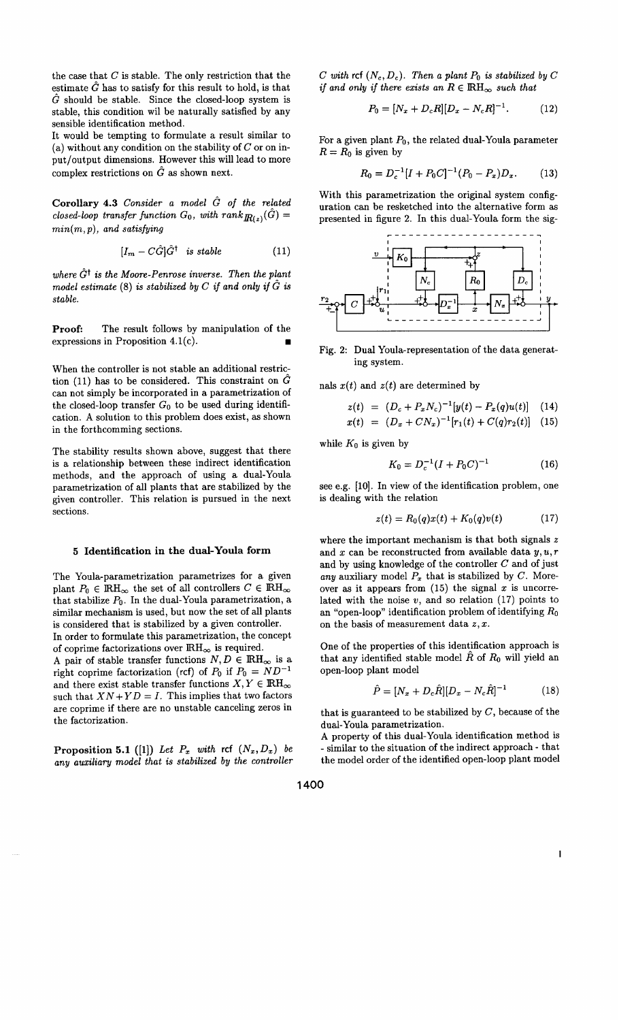the case that  $C$  is stable. The only restriction that the estimate  $\tilde{G}$  has to satisfy for this result to hold, is that  $\hat{G}$  should be stable. Since the closed-loop system is stable, this condition wil be naturally satisfied by any sensible identification method.

It would be tempting to formulate a result similar to (a) without any condition on the stability of  $C$  or on input /output dimensions. However this will lead to more complex restrictions on  $\hat{G}$  as shown next.

Corollary 4.3 Consider a model G of *the* related *closed-loop transfer* function  $G_0$ , *with*  $rank_{\mathbf{R}(z)}(\hat{G}) =$ min(m, *p),* and *satisfying*

$$
[I_m - C\hat{G}]\hat{G}^\dagger \quad is \ stable \tag{11}
$$

*where Gt is the Moore-Penrose* inverse. *Then the* plant *model estimate (8) is stabilized by C' if* and only *if G is stable.*

Proof: The result follows by manipulation of the expressions in Proposition  $4.1(c)$ .

When the controller is not stable an additional restriction (11) has to be considered. This constraint on  $\tilde{G}$ can not simply be incorporated in a parametrization of the closed-loop transfer  $G_0$  to be used during identification. A solution to this problem does exist, as shown in the forthcomming sections.

The stability results shown above, suggest that there is a relationship between these indirect identification methods, and the approach of using a dual-Youla parametrization of all plants that are stabilized by the given controller. This relation is pursued in the next sections.

#### 5 Identification in the dual-Youla form

The Youla-parametrization parametrizes for a given plant  $P_0 \in \text{RH}_{\infty}$  the set of all controllers  $C \in \text{RH}_{\infty}$ that stabilize  $P_0$ . In the dual-Youla parametrization, a similar mechanism is used, but now the set of all plants is considered that is stabilized by a given controller. In order to formulate this parametrization, the concept of coprime factorizations over  $\text{RH}_{\infty}$  is required.

A pair of stable transfer functions  $N, D \in \mathbb{R}$ H<sub>∞</sub> is a right coprime factorization (rcf) of  $P_0$  if  $P_0 = ND^{-1}$ and there exist stable transfer functions  $X, Y \in \text{RH}_{\infty}$ such that  $XN + YD = I$ . This implies that two factors are coprime if there are no unstable canceling zeros in the factorization.

**Proposition 5.1** ([1]) Let  $P_x$  with rcf  $(N_x, D_x)$  be any auxiliary model *that is stabilized by the controller* *C* with  $ref(N_c, D_c)$ . Then a plant  $P_0$  is stabilized by C *if* and only if there exists an  $R \in \text{RH}_{\infty}$  such that

$$
P_0 = [N_x + D_c R][D_x - N_c R]^{-1}.
$$
 (12)

For a given plant  $P_0$ , the related dual-Youla parameter  $R = R_0$  is given by

$$
R_0 = D_c^{-1} [I + P_0 C]^{-1} (P_0 - P_x) D_x.
$$
 (13)

With this parametrization the original system configuration can be resketched into the alternative form as presented in figure 2. In this dual-Youla form the sig-



Fig. 2: Dual Youla-representation of the data generating system.

nals  $x(t)$  and  $z(t)$  are determined by

$$
z(t) = (D_c + P_x N_c)^{-1} [y(t) - P_x(q)u(t)] \quad (14)
$$

$$
x(t) = (D_x + CN_x)^{-1}[r_1(t) + C(q)r_2(t)] \quad (15)
$$

while  $K_0$  is given by

$$
K_0 = D_c^{-1} (I + P_0 C)^{-1}
$$
 (16)

see e.g. [10]. In view of the identification problem, one is dealing with the relation

$$
z(t) = R_0(q)x(t) + K_0(q)v(t)
$$
 (17)

where the important mechanism is that both signals z and x can be reconstructed from available data  $y, u, r$ and by using knowledge of the controller C and of just any auxiliary model  $P_x$  that is stabilized by C. Moreover as it appears from  $(15)$  the signal x is uncorrelated with the noise  $v$ , and so relation (17) points to an "open-loop" identification problem of identifying *R.* on the basis of measurement data  $z, x$ .

One of the properties of this identification approach is that any identified stable model  $R$  of  $R_0$  will yield an open-loop plant model

$$
\hat{P} = [N_x + D_c \hat{R}] [D_x - N_c \hat{R}]^{-1}
$$
 (18)

that is guaranteed to be stabilized by  $C$ , because of the dual-Youla parametrization.

A property of this dual-Youla identification method is - similar to the situation of the indirect approach - that the model order of the identified open-loop plant model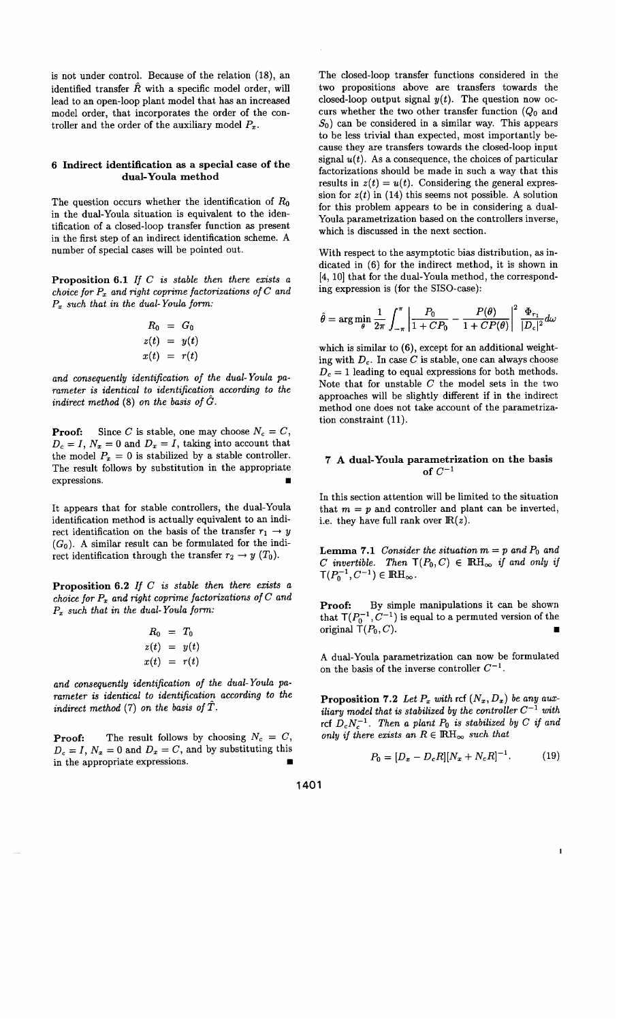is not under control. Because of the relation (18), an identified transfer  $\hat{R}$  with a specific model order, will lead to an open-loop plant model that has an increased model order, that incorporates the order of the controller and the order of the auxiliary model *Px.*

## *6* Indirect identification as a special case of the dual-Youla method

The question occurs whether the identification of  $R_0$ in the dual-Youla situation is equivalent to the identification of a closed-loop transfer function as present in the first step of an indirect identification scheme. A number of special cases will be pointed out.

Proposition 6.1 *If C is stable then there exists a choice* for  $P_x$  and right coprime factorizations of C and *P. such that in the dual-Youia form:*

$$
R_0 = G_0
$$
  
\n
$$
z(t) = y(t)
$$
  
\n
$$
x(t) = r(t)
$$

*and* consequently *identification of the dual-Youla parameter is identical to identification?* according *to the indirect* method  $(8)$  *on* the basis of  $\tilde{G}$ .

**Proof:** Since C is stable, one may choose  $N_c = C$ ,  $D_c = I$ ,  $N_x = 0$  and  $D_x = I$ , taking into account that the model  $P_x = 0$  is stabilized by a stable controller. The result follows by substitution in the appropriate expressions.

It appears that for stable controllers, the dual-Youla identification method is actually equivalent to an indirect identification on the basis of the transfer  $r_1 \rightarrow y$  $(G_0)$ . A similar result can be formulated for the indirect identification through the transfer  $r_2 \rightarrow y$  (T<sub>0</sub>).

Proposition 6.2 *If C is stable then there exists a choice* for  $P_x$  and right coprime factorizations of C and *Pz* such *that in the dual-*Youla *form:*

$$
R_0 = T_0
$$
  
\n
$$
z(t) = y(t)
$$
  
\n
$$
x(t) = r(t)
$$

and consequently identification *of the dual-Youla pa* $r$ ameter is *identical to identification according to the indirect method (7) on the basis of T.*

**Proof:** The result follows by choosing  $N_c = C$  $D_c = I, N_x = 0$  and  $D_x = C$ , and by substituting the in the appropriate expressions. ■ The closed-loop transfer functions considered in the two propositions above are transfers towards the closed-loop output signal  $y(t)$ . The question now occurs whether the two other transfer function  $(Q_0, Q_1)$  $S_0$ ) can be considered in a similar way. This appears to be less trivial than expected, most importantly because they are transfers towards the closed-loop input signal  $u(t)$ . As a consequence, the choices of particular factorizations should be made in such a way that this results in  $z(t) = u(t)$ . Considering the general expression for  $z(t)$  in (14) this seems not possible. A solution for this problem appears to be in considering a dual-Youla parametrization based on the controllers inverse, which is discussed in the next section.

With respect to the asymptotic bias distribution, as indicated in (6) for the indirect method, it is shown in [4, 10] that for the dual-Youla method, the corresponding expression is (for the SISO-case):

$$
\hat{\theta} = \arg\min_{\theta} \frac{1}{2\pi} \int_{-\pi}^{\pi} \left| \frac{P_0}{1 + CP_0} - \frac{P(\theta)}{1 + CP(\theta)} \right|^2 \frac{\Phi_{r_1}}{|D_c|^2} d\omega
$$

which is similar to  $(6)$ , except for an additional weighting with  $D_c$ . In case C is stable, one can always choose  $D_c = 1$  leading to equal expressions for both methods. Note that for unstable  $C$  the model sets in the two approaches will be slightly different if in the indirect method one does not take account of the parametrization constraint (11).

# 7 A dual-Youla parametrization on the basis of  $C^{-1}$

In this section attention will be limited to the situation that  $m = p$  and controller and plant can be inverted, i.e. they have full rank over  $\mathbb{R}(z)$ .

**Lemma 7.1** Consider the situation  $m = p$  and  $P_0$  and *C* invertible. Then  $T(P_0, C) \in \mathbb{R}$ H<sub>∞</sub> if and only if  $T(P_0^{-1}, C^{-1}) \in \text{RH}_{\infty}.$ 

Proof: By simple manipulations it can be shown that  $T(P_0^{-1}, C^{-1})$  is equal to a permuted version of the original  $\mathsf{T}(P_0, C)$ .

A dual-Youla parametrization can now be formulated on the basis of the inverse controller  $C^{-1}$ .

**Proposition 7.2** Let  $P_x$  with  $ref(N_x, D_x)$  be any aux*iliary* model that is stabilized by the controller  $C^{-1}$  with rcf  $D_c N_c^{-1}$ . Then a plant  $P_0$  is *stabilized* by C if and *only if there exists an*  $R \in \mathbb{R}$ *H*<sub>∞</sub> *such that* 

$$
P_0 = [D_x - D_c R][N_x + N_c R]^{-1}.
$$
 (19)